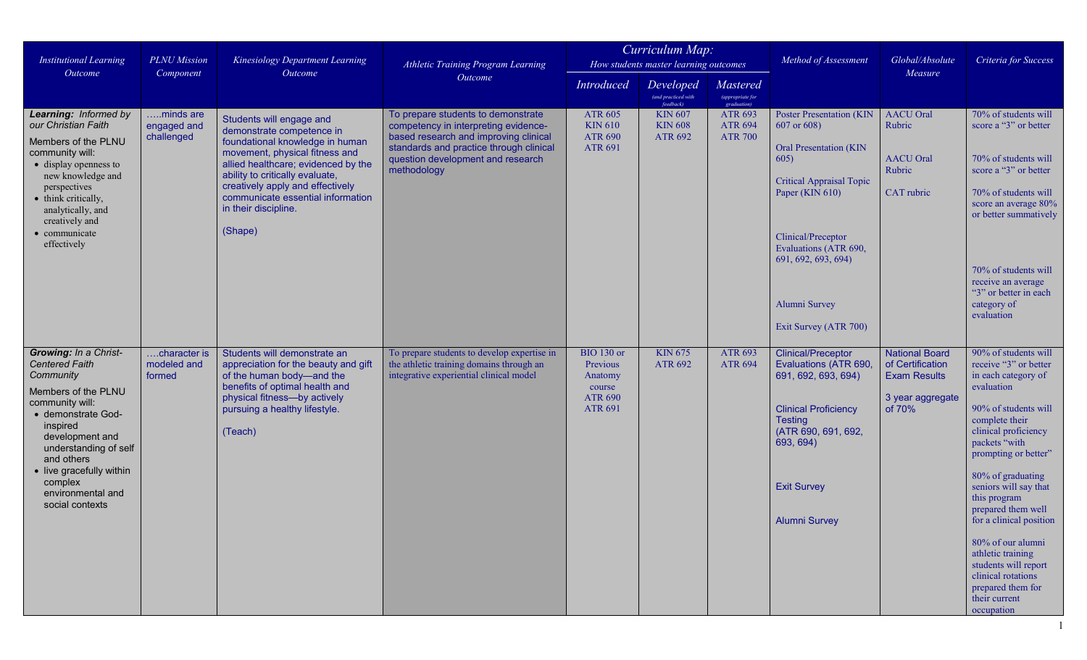| <b>Institutional Learning</b><br>Outcome                                                                                                                                                                                                                                         | <b>PLNU</b> Mission<br>Component       | Kinesiology Department Learning<br>Outcome                                                                                                                                                                                                                                                            | Athletic Training Program Learning<br>Outcome                                                                                                                                                                      | Curriculum Map:<br>How students master learning outcomes                               |                                               |                                                                                             | Method of Assessment                                                                                                                                                                                         | Global/Absolute<br>Measure                                                                     | Criteria for Success                                                                                                                                                                                                                                                                                                                                                                                                                                     |
|----------------------------------------------------------------------------------------------------------------------------------------------------------------------------------------------------------------------------------------------------------------------------------|----------------------------------------|-------------------------------------------------------------------------------------------------------------------------------------------------------------------------------------------------------------------------------------------------------------------------------------------------------|--------------------------------------------------------------------------------------------------------------------------------------------------------------------------------------------------------------------|----------------------------------------------------------------------------------------|-----------------------------------------------|---------------------------------------------------------------------------------------------|--------------------------------------------------------------------------------------------------------------------------------------------------------------------------------------------------------------|------------------------------------------------------------------------------------------------|----------------------------------------------------------------------------------------------------------------------------------------------------------------------------------------------------------------------------------------------------------------------------------------------------------------------------------------------------------------------------------------------------------------------------------------------------------|
|                                                                                                                                                                                                                                                                                  |                                        |                                                                                                                                                                                                                                                                                                       |                                                                                                                                                                                                                    | <b>Introduced</b>                                                                      | Developed<br>(and practiced with<br>feedback) | Mastered<br>$\begin{array}{c} \text{(appropriate for }\quad\\ \text{gradient)} \end{array}$ |                                                                                                                                                                                                              |                                                                                                |                                                                                                                                                                                                                                                                                                                                                                                                                                                          |
| Learning: Informed by<br>our Christian Faith<br>Members of the PLNU<br>community will:<br>• display openness to<br>new knowledge and<br>perspectives<br>• think critically,<br>analytically, and<br>creatively and                                                               | minds are<br>engaged and<br>challenged | Students will engage and<br>demonstrate competence in<br>foundational knowledge in human<br>movement, physical fitness and<br>allied healthcare; evidenced by the<br>ability to critically evaluate,<br>creatively apply and effectively<br>communicate essential information<br>in their discipline. | To prepare students to demonstrate<br>competency in interpreting evidence-<br>based research and improving clinical<br>standards and practice through clinical<br>question development and research<br>methodology | <b>ATR 605</b><br><b>KIN 610</b><br><b>ATR 690</b><br><b>ATR 691</b>                   | <b>KIN 607</b><br><b>KIN 608</b><br>ATR 692   | ATR 693<br><b>ATR 694</b><br><b>ATR 700</b>                                                 | <b>Poster Presentation (KIN</b><br>607 or 608)<br><b>Oral Presentation (KIN</b><br>605)<br><b>Critical Appraisal Topic</b><br>Paper (KIN 610)                                                                | <b>AACU</b> Oral<br>Rubric<br><b>AACU</b> Oral<br>Rubric<br>CAT rubric                         | 70% of students will<br>score a "3" or better<br>70% of students will<br>score a "3" or better<br>70% of students will<br>score an average 80%<br>or better summatively                                                                                                                                                                                                                                                                                  |
| • communicate<br>effectively                                                                                                                                                                                                                                                     |                                        | (Shape)                                                                                                                                                                                                                                                                                               |                                                                                                                                                                                                                    |                                                                                        |                                               |                                                                                             | Clinical/Preceptor<br>Evaluations (ATR 690,<br>691, 692, 693, 694)<br>Alumni Survey<br>Exit Survey (ATR 700)                                                                                                 |                                                                                                | 70% of students will<br>receive an average<br>"3" or better in each<br>category of<br>evaluation                                                                                                                                                                                                                                                                                                                                                         |
| Growing: In a Christ-<br><b>Centered Faith</b><br>Community<br>Members of the PLNU<br>community will:<br>• demonstrate God-<br>inspired<br>development and<br>understanding of self<br>and others<br>• live gracefully within<br>complex<br>environmental and<br>social contexts | character is<br>modeled and<br>formed  | Students will demonstrate an<br>appreciation for the beauty and gift<br>of the human body-and the<br>benefits of optimal health and<br>physical fitness-by actively<br>pursuing a healthy lifestyle.<br>(Teach)                                                                                       | To prepare students to develop expertise in<br>the athletic training domains through an<br>integrative experiential clinical model                                                                                 | <b>BIO</b> 130 or<br>Previous<br>Anatomy<br>course<br><b>ATR 690</b><br><b>ATR 691</b> | <b>KIN 675</b><br>ATR 692                     | ATR 693<br><b>ATR 694</b>                                                                   | <b>Clinical/Preceptor</b><br>Evaluations (ATR 690,<br>691, 692, 693, 694)<br><b>Clinical Proficiency</b><br><b>Testing</b><br>(ATR 690, 691, 692,<br>693, 694)<br><b>Exit Survey</b><br><b>Alumni Survey</b> | <b>National Board</b><br>of Certification<br><b>Exam Results</b><br>3 year aggregate<br>of 70% | 90% of students will<br>receive "3" or better<br>in each category of<br>evaluation<br>90% of students will<br>complete their<br>clinical proficiency<br>packets "with<br>prompting or better"<br>80% of graduating<br>seniors will say that<br>this program<br>prepared them well<br>for a clinical position<br>80% of our alumni<br>athletic training<br>students will report<br>clinical rotations<br>prepared them for<br>their current<br>occupation |